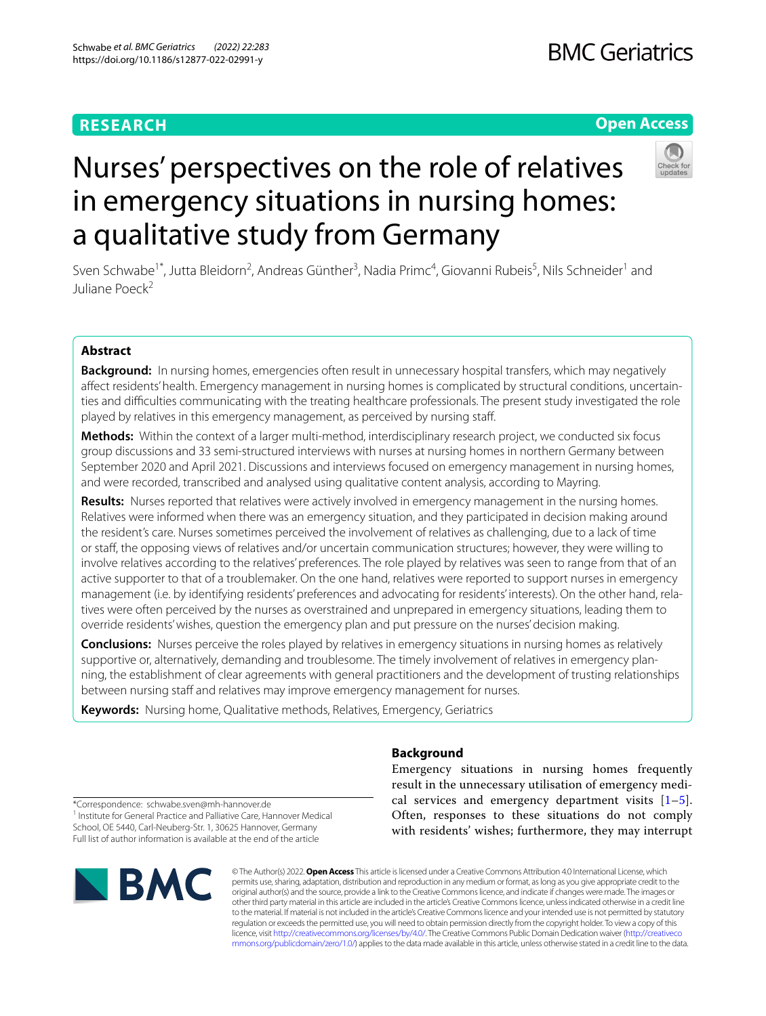# **RESEARCH**

# **Open Access**



# Nurses' perspectives on the role of relatives in emergency situations in nursing homes: a qualitative study from Germany

Sven Schwabe<sup>1\*</sup>, Jutta Bleidorn<sup>2</sup>, Andreas Günther<sup>3</sup>, Nadia Primc<sup>4</sup>, Giovanni Rubeis<sup>5</sup>, Nils Schneider<sup>1</sup> and Juliane Poeck<sup>2</sup>

# **Abstract**

**Background:** In nursing homes, emergencies often result in unnecessary hospital transfers, which may negatively afect residents' health. Emergency management in nursing homes is complicated by structural conditions, uncertainties and difculties communicating with the treating healthcare professionals. The present study investigated the role played by relatives in this emergency management, as perceived by nursing staf.

**Methods:** Within the context of a larger multi-method, interdisciplinary research project, we conducted six focus group discussions and 33 semi-structured interviews with nurses at nursing homes in northern Germany between September 2020 and April 2021. Discussions and interviews focused on emergency management in nursing homes, and were recorded, transcribed and analysed using qualitative content analysis, according to Mayring.

**Results:** Nurses reported that relatives were actively involved in emergency management in the nursing homes. Relatives were informed when there was an emergency situation, and they participated in decision making around the resident's care. Nurses sometimes perceived the involvement of relatives as challenging, due to a lack of time or staff, the opposing views of relatives and/or uncertain communication structures; however, they were willing to involve relatives according to the relatives' preferences. The role played by relatives was seen to range from that of an active supporter to that of a troublemaker. On the one hand, relatives were reported to support nurses in emergency management (i.e. by identifying residents' preferences and advocating for residents' interests). On the other hand, relatives were often perceived by the nurses as overstrained and unprepared in emergency situations, leading them to override residents' wishes, question the emergency plan and put pressure on the nurses' decision making.

**Conclusions:** Nurses perceive the roles played by relatives in emergency situations in nursing homes as relatively supportive or, alternatively, demanding and troublesome. The timely involvement of relatives in emergency planning, the establishment of clear agreements with general practitioners and the development of trusting relationships between nursing staff and relatives may improve emergency management for nurses.

**Keywords:** Nursing home, Qualitative methods, Relatives, Emergency, Geriatrics

# **Background**

Emergency situations in nursing homes frequently result in the unnecessary utilisation of emergency medical services and emergency department visits  $[1-5]$  $[1-5]$  $[1-5]$  $[1-5]$  $[1-5]$ . Often, responses to these situations do not comply with residents' wishes; furthermore, they may interrupt

\*Correspondence: schwabe.sven@mh-hannover.de <sup>1</sup> Institute for General Practice and Palliative Care, Hannover Medical School, OE 5440, Carl-Neuberg-Str. 1, 30625 Hannover, Germany Full list of author information is available at the end of the article



© The Author(s) 2022. **Open Access** This article is licensed under a Creative Commons Attribution 4.0 International License, which permits use, sharing, adaptation, distribution and reproduction in any medium or format, as long as you give appropriate credit to the original author(s) and the source, provide a link to the Creative Commons licence, and indicate if changes were made. The images or other third party material in this article are included in the article's Creative Commons licence, unless indicated otherwise in a credit line to the material. If material is not included in the article's Creative Commons licence and your intended use is not permitted by statutory regulation or exceeds the permitted use, you will need to obtain permission directly from the copyright holder. To view a copy of this licence, visit [http://creativecommons.org/licenses/by/4.0/.](http://creativecommons.org/licenses/by/4.0/) The Creative Commons Public Domain Dedication waiver ([http://creativeco](http://creativecommons.org/publicdomain/zero/1.0/) [mmons.org/publicdomain/zero/1.0/](http://creativecommons.org/publicdomain/zero/1.0/)) applies to the data made available in this article, unless otherwise stated in a credit line to the data.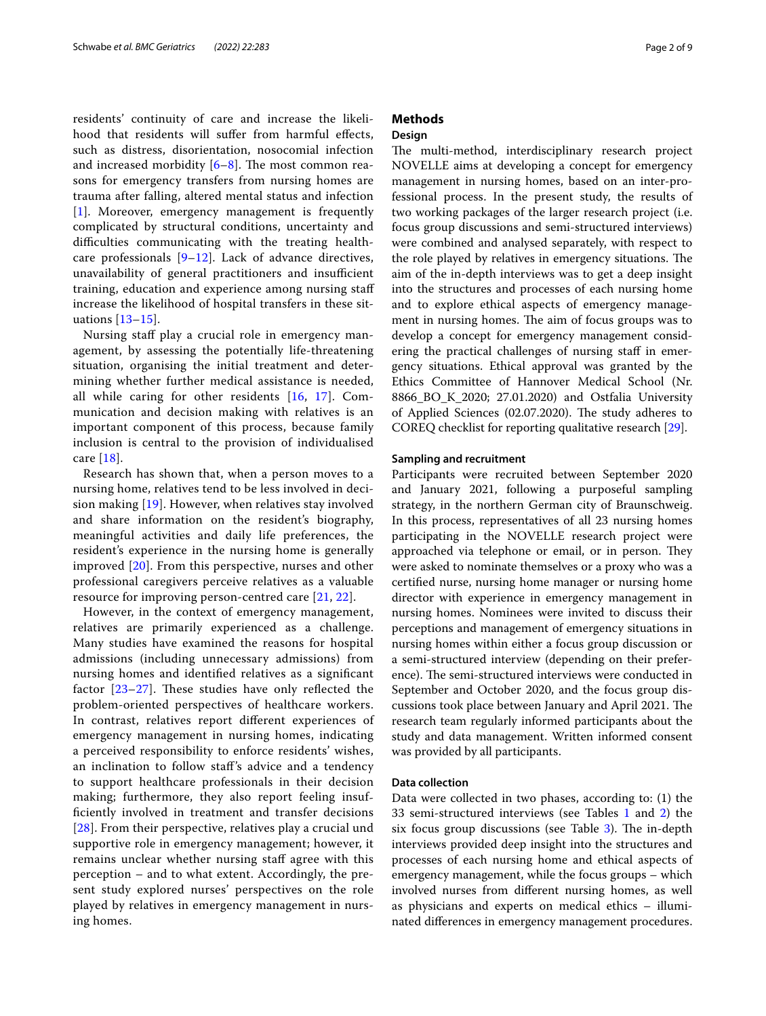residents' continuity of care and increase the likelihood that residents will sufer from harmful efects, such as distress, disorientation, nosocomial infection and increased morbidity  $[6-8]$  $[6-8]$ . The most common reasons for emergency transfers from nursing homes are trauma after falling, altered mental status and infection [[1\]](#page-7-0). Moreover, emergency management is frequently complicated by structural conditions, uncertainty and difficulties communicating with the treating healthcare professionals  $[9-12]$  $[9-12]$  $[9-12]$ . Lack of advance directives, unavailability of general practitioners and insufficient training, education and experience among nursing staf increase the likelihood of hospital transfers in these situations [[13](#page-8-5)–[15](#page-8-6)].

Nursing staff play a crucial role in emergency management, by assessing the potentially life-threatening situation, organising the initial treatment and determining whether further medical assistance is needed, all while caring for other residents [[16,](#page-8-7) [17\]](#page-8-8). Communication and decision making with relatives is an important component of this process, because family inclusion is central to the provision of individualised care [[18](#page-8-9)].

Research has shown that, when a person moves to a nursing home, relatives tend to be less involved in decision making [[19\]](#page-8-10). However, when relatives stay involved and share information on the resident's biography, meaningful activities and daily life preferences, the resident's experience in the nursing home is generally improved [\[20](#page-8-11)]. From this perspective, nurses and other professional caregivers perceive relatives as a valuable resource for improving person-centred care [\[21](#page-8-12), [22](#page-8-13)].

However, in the context of emergency management, relatives are primarily experienced as a challenge. Many studies have examined the reasons for hospital admissions (including unnecessary admissions) from nursing homes and identifed relatives as a signifcant factor  $[23-27]$  $[23-27]$ . These studies have only reflected the problem-oriented perspectives of healthcare workers. In contrast, relatives report diferent experiences of emergency management in nursing homes, indicating a perceived responsibility to enforce residents' wishes, an inclination to follow staf's advice and a tendency to support healthcare professionals in their decision making; furthermore, they also report feeling insuffciently involved in treatment and transfer decisions [[28](#page-8-16)]. From their perspective, relatives play a crucial und supportive role in emergency management; however, it remains unclear whether nursing staff agree with this perception – and to what extent. Accordingly, the present study explored nurses' perspectives on the role played by relatives in emergency management in nursing homes.

# **Methods**

## **Design**

The multi-method, interdisciplinary research project NOVELLE aims at developing a concept for emergency management in nursing homes, based on an inter-professional process. In the present study, the results of two working packages of the larger research project (i.e. focus group discussions and semi-structured interviews) were combined and analysed separately, with respect to the role played by relatives in emergency situations. The aim of the in-depth interviews was to get a deep insight into the structures and processes of each nursing home and to explore ethical aspects of emergency management in nursing homes. The aim of focus groups was to develop a concept for emergency management considering the practical challenges of nursing staf in emergency situations. Ethical approval was granted by the Ethics Committee of Hannover Medical School (Nr. 8866\_BO\_K\_2020; 27.01.2020) and Ostfalia University of Applied Sciences (02.07.2020). The study adheres to COREQ checklist for reporting qualitative research [\[29](#page-8-17)].

#### **Sampling and recruitment**

Participants were recruited between September 2020 and January 2021, following a purposeful sampling strategy, in the northern German city of Braunschweig. In this process, representatives of all 23 nursing homes participating in the NOVELLE research project were approached via telephone or email, or in person. They were asked to nominate themselves or a proxy who was a certifed nurse, nursing home manager or nursing home director with experience in emergency management in nursing homes. Nominees were invited to discuss their perceptions and management of emergency situations in nursing homes within either a focus group discussion or a semi-structured interview (depending on their preference). The semi-structured interviews were conducted in September and October 2020, and the focus group discussions took place between January and April 2021. The research team regularly informed participants about the study and data management. Written informed consent was provided by all participants.

## **Data collection**

Data were collected in two phases, according to: (1) the 33 semi-structured interviews (see Tables [1](#page-2-0) and [2](#page-2-1)) the six focus group discussions (see Table [3\)](#page-2-2). The in-depth interviews provided deep insight into the structures and processes of each nursing home and ethical aspects of emergency management, while the focus groups – which involved nurses from diferent nursing homes, as well as physicians and experts on medical ethics – illuminated diferences in emergency management procedures.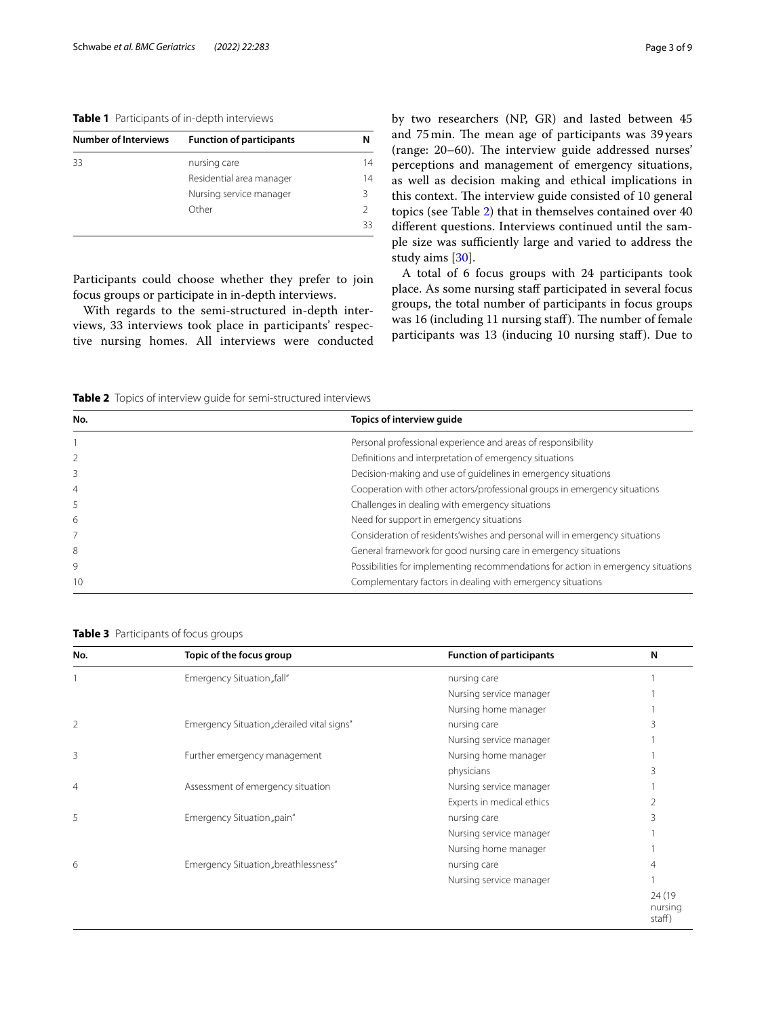## <span id="page-2-0"></span>**Table 1** Participants of in-depth interviews

| <b>Number of Interviews</b> | <b>Function of participants</b> |    |
|-----------------------------|---------------------------------|----|
| 33                          | nursing care                    | 14 |
|                             | Residential area manager        | 14 |
|                             | Nursing service manager         | ς  |
|                             | Other                           |    |
|                             |                                 | 33 |

Participants could choose whether they prefer to join focus groups or participate in in-depth interviews.

With regards to the semi-structured in-depth interviews, 33 interviews took place in participants' respective nursing homes. All interviews were conducted by two researchers (NP, GR) and lasted between 45 and 75 min. The mean age of participants was 39 years (range: 20–60). The interview guide addressed nurses' perceptions and management of emergency situations, as well as decision making and ethical implications in this context. The interview guide consisted of 10 general topics (see Table [2\)](#page-2-1) that in themselves contained over 40 diferent questions. Interviews continued until the sample size was sufficiently large and varied to address the study aims [\[30](#page-8-18)].

A total of 6 focus groups with 24 participants took place. As some nursing staff participated in several focus groups, the total number of participants in focus groups was 16 (including 11 nursing staff). The number of female participants was 13 (inducing 10 nursing staf). Due to

<span id="page-2-1"></span>**Table 2** Topics of interview guide for semi-structured interviews

| No.            | Topics of interview quide                                                         |
|----------------|-----------------------------------------------------------------------------------|
|                | Personal professional experience and areas of responsibility                      |
|                | Definitions and interpretation of emergency situations                            |
| 3              | Decision-making and use of quidelines in emergency situations                     |
| $\overline{4}$ | Cooperation with other actors/professional groups in emergency situations         |
| 5              | Challenges in dealing with emergency situations                                   |
| 6              | Need for support in emergency situations                                          |
|                | Consideration of residents' wishes and personal will in emergency situations      |
| 8              | General framework for good nursing care in emergency situations                   |
| 9              | Possibilities for implementing recommendations for action in emergency situations |
| 10             | Complementary factors in dealing with emergency situations                        |

<span id="page-2-2"></span>**Table 3** Participants of focus groups

| No.            | Topic of the focus group                   | <b>Function of participants</b> | N                           |
|----------------|--------------------------------------------|---------------------------------|-----------------------------|
|                | Emergency Situation "fall"                 | nursing care                    |                             |
|                |                                            | Nursing service manager         |                             |
|                |                                            | Nursing home manager            |                             |
| $\overline{2}$ | Emergency Situation "derailed vital signs" | nursing care                    |                             |
|                |                                            | Nursing service manager         |                             |
| 3              | Further emergency management               | Nursing home manager            |                             |
|                |                                            | physicians                      |                             |
| $\overline{4}$ | Assessment of emergency situation          | Nursing service manager         |                             |
|                |                                            | Experts in medical ethics       |                             |
| 5              | Emergency Situation "pain"                 | nursing care                    |                             |
|                |                                            | Nursing service manager         |                             |
|                |                                            | Nursing home manager            |                             |
| 6              | Emergency Situation "breathlessness"       | nursing care                    |                             |
|                |                                            | Nursing service manager         |                             |
|                |                                            |                                 | 24 (19<br>nursing<br>staff) |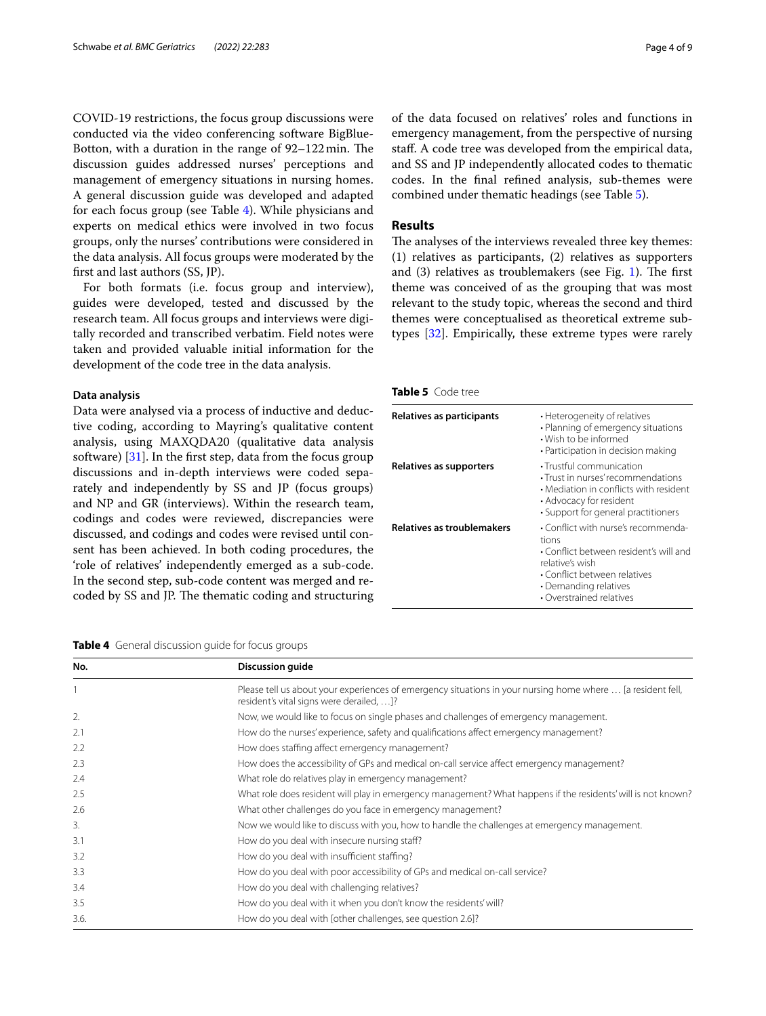COVID-19 restrictions, the focus group discussions were conducted via the video conferencing software BigBlue-Botton, with a duration in the range of  $92-122$  min. The discussion guides addressed nurses' perceptions and management of emergency situations in nursing homes. A general discussion guide was developed and adapted for each focus group (see Table [4\)](#page-3-0). While physicians and experts on medical ethics were involved in two focus groups, only the nurses' contributions were considered in the data analysis. All focus groups were moderated by the frst and last authors (SS, JP).

For both formats (i.e. focus group and interview), guides were developed, tested and discussed by the research team. All focus groups and interviews were digitally recorded and transcribed verbatim. Field notes were taken and provided valuable initial information for the development of the code tree in the data analysis.

#### **Data analysis**

Data were analysed via a process of inductive and deductive coding, according to Mayring's qualitative content analysis, using MAXQDA20 (qualitative data analysis software)  $[31]$  $[31]$ . In the first step, data from the focus group discussions and in-depth interviews were coded separately and independently by SS and JP (focus groups) and NP and GR (interviews). Within the research team, codings and codes were reviewed, discrepancies were discussed, and codings and codes were revised until consent has been achieved. In both coding procedures, the 'role of relatives' independently emerged as a sub-code. In the second step, sub-code content was merged and recoded by SS and JP. The thematic coding and structuring

<span id="page-3-0"></span>**Table 4** General discussion guide for focus groups

of the data focused on relatives' roles and functions in emergency management, from the perspective of nursing staf. A code tree was developed from the empirical data, and SS and JP independently allocated codes to thematic codes. In the fnal refned analysis, sub-themes were combined under thematic headings (see Table [5](#page-3-1)).

## **Results**

The analyses of the interviews revealed three key themes: (1) relatives as participants, (2) relatives as supporters and  $(3)$  relatives as troublemakers (see Fig. [1](#page-4-0)). The first theme was conceived of as the grouping that was most relevant to the study topic, whereas the second and third themes were conceptualised as theoretical extreme subtypes [\[32](#page-8-20)]. Empirically, these extreme types were rarely

<span id="page-3-1"></span>

| Table 5 Code tree |
|-------------------|
|-------------------|

| Relatives as participants         | • Heterogeneity of relatives<br>• Planning of emergency situations<br>• Wish to be informed<br>• Participation in decision making                                                              |
|-----------------------------------|------------------------------------------------------------------------------------------------------------------------------------------------------------------------------------------------|
| Relatives as supporters           | • Trustful communication<br>· Trust in nurses' recommendations<br>• Mediation in conflicts with resident<br>• Advocacy for resident<br>· Support for general practitioners                     |
| <b>Relatives as troublemakers</b> | • Conflict with nurse's recommenda-<br>tions<br>• Conflict between resident's will and<br>relative's wish<br>• Conflict between relatives<br>• Demanding relatives<br>• Overstrained relatives |

| No.  | <b>Discussion guide</b>                                                                                                                                 |  |
|------|---------------------------------------------------------------------------------------------------------------------------------------------------------|--|
|      | Please tell us about your experiences of emergency situations in your nursing home where  [a resident fell,<br>resident's vital signs were derailed, ]? |  |
| 2.   | Now, we would like to focus on single phases and challenges of emergency management.                                                                    |  |
| 2.1  | How do the nurses' experience, safety and qualifications affect emergency management?                                                                   |  |
| 2.2  | How does staffing affect emergency management?                                                                                                          |  |
| 2.3  | How does the accessibility of GPs and medical on-call service affect emergency management?                                                              |  |
| 2.4  | What role do relatives play in emergency management?                                                                                                    |  |
| 2.5  | What role does resident will play in emergency management? What happens if the residents' will is not known?                                            |  |
| 2.6  | What other challenges do you face in emergency management?                                                                                              |  |
| 3.   | Now we would like to discuss with you, how to handle the challenges at emergency management.                                                            |  |
| 3.1  | How do you deal with insecure nursing staff?                                                                                                            |  |
| 3.2  | How do you deal with insufficient staffing?                                                                                                             |  |
| 3.3  | How do you deal with poor accessibility of GPs and medical on-call service?                                                                             |  |
| 3.4  | How do you deal with challenging relatives?                                                                                                             |  |
| 3.5  | How do you deal with it when you don't know the residents' will?                                                                                        |  |
| 3.6. | How do you deal with [other challenges, see question 2.6]?                                                                                              |  |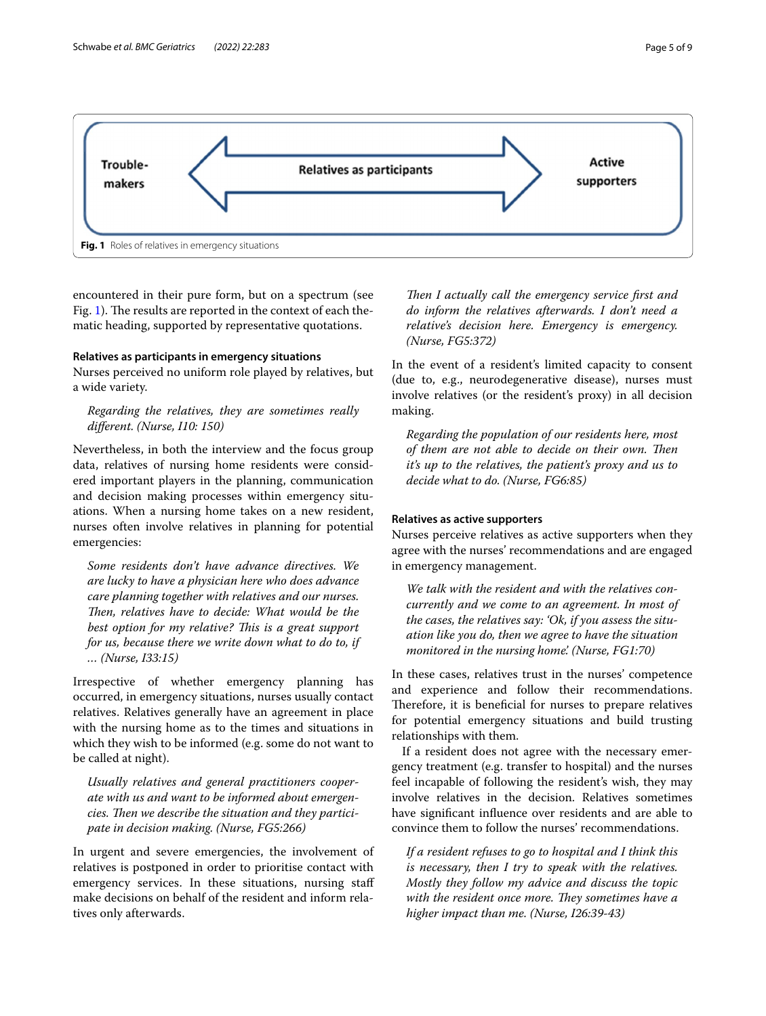

<span id="page-4-0"></span>encountered in their pure form, but on a spectrum (see Fig. [1\)](#page-4-0). The results are reported in the context of each thematic heading, supported by representative quotations.

## **Relatives as participants in emergency situations**

Nurses perceived no uniform role played by relatives, but a wide variety.

## *Regarding the relatives, they are sometimes really diferent. (Nurse, I10: 150)*

Nevertheless, in both the interview and the focus group data, relatives of nursing home residents were considered important players in the planning, communication and decision making processes within emergency situations. When a nursing home takes on a new resident, nurses often involve relatives in planning for potential emergencies:

*Some residents don't have advance directives. We are lucky to have a physician here who does advance care planning together with relatives and our nurses. Then, relatives have to decide: What would be the* best option for my relative? This is a great support *for us, because there we write down what to do to, if … (Nurse, I33:15)*

Irrespective of whether emergency planning has occurred, in emergency situations, nurses usually contact relatives. Relatives generally have an agreement in place with the nursing home as to the times and situations in which they wish to be informed (e.g. some do not want to be called at night).

*Usually relatives and general practitioners cooperate with us and want to be informed about emergen*cies. Then we describe the situation and they partici*pate in decision making. (Nurse, FG5:266)*

In urgent and severe emergencies, the involvement of relatives is postponed in order to prioritise contact with emergency services. In these situations, nursing staf make decisions on behalf of the resident and inform relatives only afterwards.

Then I actually call the emergency service first and *do inform the relatives afterwards. I don't need a relative's decision here. Emergency is emergency. (Nurse, FG5:372)*

In the event of a resident's limited capacity to consent (due to, e.g., neurodegenerative disease), nurses must involve relatives (or the resident's proxy) in all decision making.

*Regarding the population of our residents here, most of them are not able to decide on their own. Then it's up to the relatives, the patient's proxy and us to decide what to do. (Nurse, FG6:85)*

#### **Relatives as active supporters**

Nurses perceive relatives as active supporters when they agree with the nurses' recommendations and are engaged in emergency management.

*We talk with the resident and with the relatives concurrently and we come to an agreement. In most of the cases, the relatives say: 'Ok, if you assess the situation like you do, then we agree to have the situation monitored in the nursing home'. (Nurse, FG1:70)*

In these cases, relatives trust in the nurses' competence and experience and follow their recommendations. Therefore, it is beneficial for nurses to prepare relatives for potential emergency situations and build trusting relationships with them.

If a resident does not agree with the necessary emergency treatment (e.g. transfer to hospital) and the nurses feel incapable of following the resident's wish, they may involve relatives in the decision. Relatives sometimes have signifcant infuence over residents and are able to convince them to follow the nurses' recommendations.

*If a resident refuses to go to hospital and I think this is necessary, then I try to speak with the relatives. Mostly they follow my advice and discuss the topic*  with the resident once more. They sometimes have a *higher impact than me. (Nurse, I26:39-43)*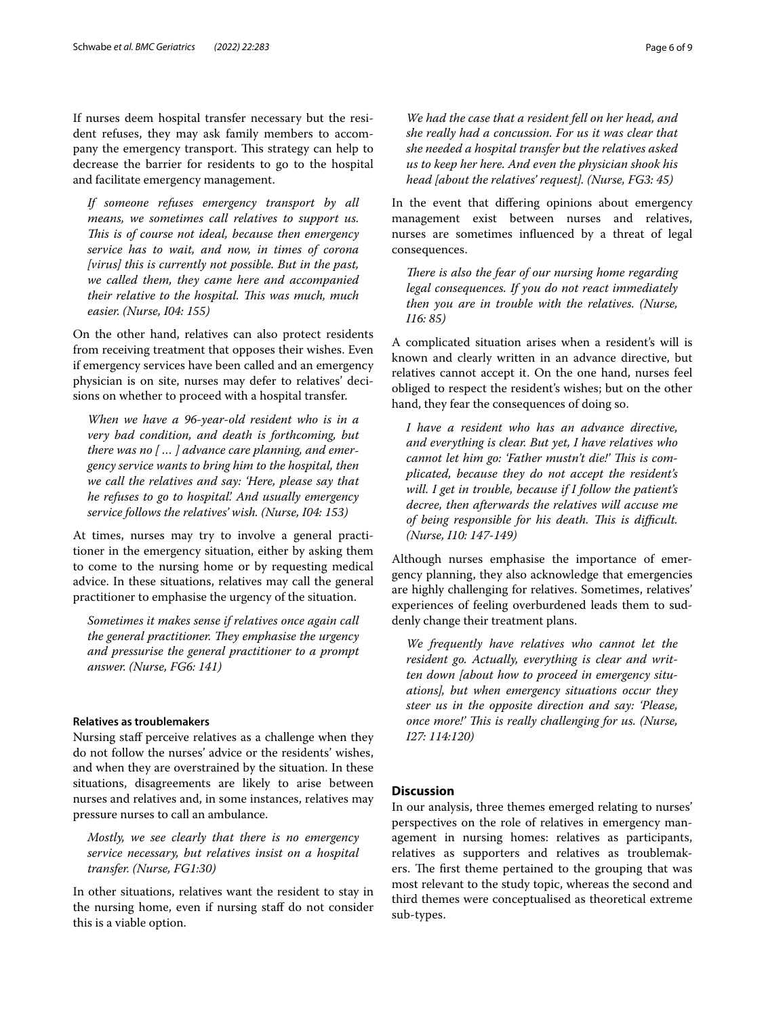If nurses deem hospital transfer necessary but the resident refuses, they may ask family members to accompany the emergency transport. This strategy can help to decrease the barrier for residents to go to the hospital and facilitate emergency management.

*If someone refuses emergency transport by all means, we sometimes call relatives to support us. Tis is of course not ideal, because then emergency service has to wait, and now, in times of corona [virus] this is currently not possible. But in the past, we called them, they came here and accompanied their relative to the hospital. Tis was much, much easier. (Nurse, I04: 155)*

On the other hand, relatives can also protect residents from receiving treatment that opposes their wishes. Even if emergency services have been called and an emergency physician is on site, nurses may defer to relatives' decisions on whether to proceed with a hospital transfer.

*When we have a 96-year-old resident who is in a very bad condition, and death is forthcoming, but there was no [ … ] advance care planning, and emergency service wants to bring him to the hospital, then we call the relatives and say: 'Here, please say that he refuses to go to hospital'. And usually emergency service follows the relatives' wish. (Nurse, I04: 153)*

At times, nurses may try to involve a general practitioner in the emergency situation, either by asking them to come to the nursing home or by requesting medical advice. In these situations, relatives may call the general practitioner to emphasise the urgency of the situation.

*Sometimes it makes sense if relatives once again call the general practitioner. They emphasise the urgency and pressurise the general practitioner to a prompt answer. (Nurse, FG6: 141)*

## **Relatives as troublemakers**

Nursing staff perceive relatives as a challenge when they do not follow the nurses' advice or the residents' wishes, and when they are overstrained by the situation. In these situations, disagreements are likely to arise between nurses and relatives and, in some instances, relatives may pressure nurses to call an ambulance.

*Mostly, we see clearly that there is no emergency service necessary, but relatives insist on a hospital transfer. (Nurse, FG1:30)*

In other situations, relatives want the resident to stay in the nursing home, even if nursing staff do not consider this is a viable option.

*We had the case that a resident fell on her head, and she really had a concussion. For us it was clear that she needed a hospital transfer but the relatives asked us to keep her here. And even the physician shook his head [about the relatives' request]. (Nurse, FG3: 45)*

In the event that difering opinions about emergency management exist between nurses and relatives, nurses are sometimes infuenced by a threat of legal consequences.

*There is also the fear of our nursing home regarding legal consequences. If you do not react immediately then you are in trouble with the relatives. (Nurse, I16: 85)*

A complicated situation arises when a resident's will is known and clearly written in an advance directive, but relatives cannot accept it. On the one hand, nurses feel obliged to respect the resident's wishes; but on the other hand, they fear the consequences of doing so.

*I have a resident who has an advance directive, and everything is clear. But yet, I have relatives who*  cannot let him go: 'Father mustn't die!' This is com*plicated, because they do not accept the resident's will. I get in trouble, because if I follow the patient's decree, then afterwards the relatives will accuse me of being responsible for his death. Tis is difcult. (Nurse, I10: 147-149)*

Although nurses emphasise the importance of emergency planning, they also acknowledge that emergencies are highly challenging for relatives. Sometimes, relatives' experiences of feeling overburdened leads them to suddenly change their treatment plans.

*We frequently have relatives who cannot let the resident go. Actually, everything is clear and written down [about how to proceed in emergency situations], but when emergency situations occur they steer us in the opposite direction and say: 'Please, once more!' Tis is really challenging for us. (Nurse, I27: 114:120)*

## **Discussion**

In our analysis, three themes emerged relating to nurses' perspectives on the role of relatives in emergency management in nursing homes: relatives as participants, relatives as supporters and relatives as troublemakers. The first theme pertained to the grouping that was most relevant to the study topic, whereas the second and third themes were conceptualised as theoretical extreme sub-types.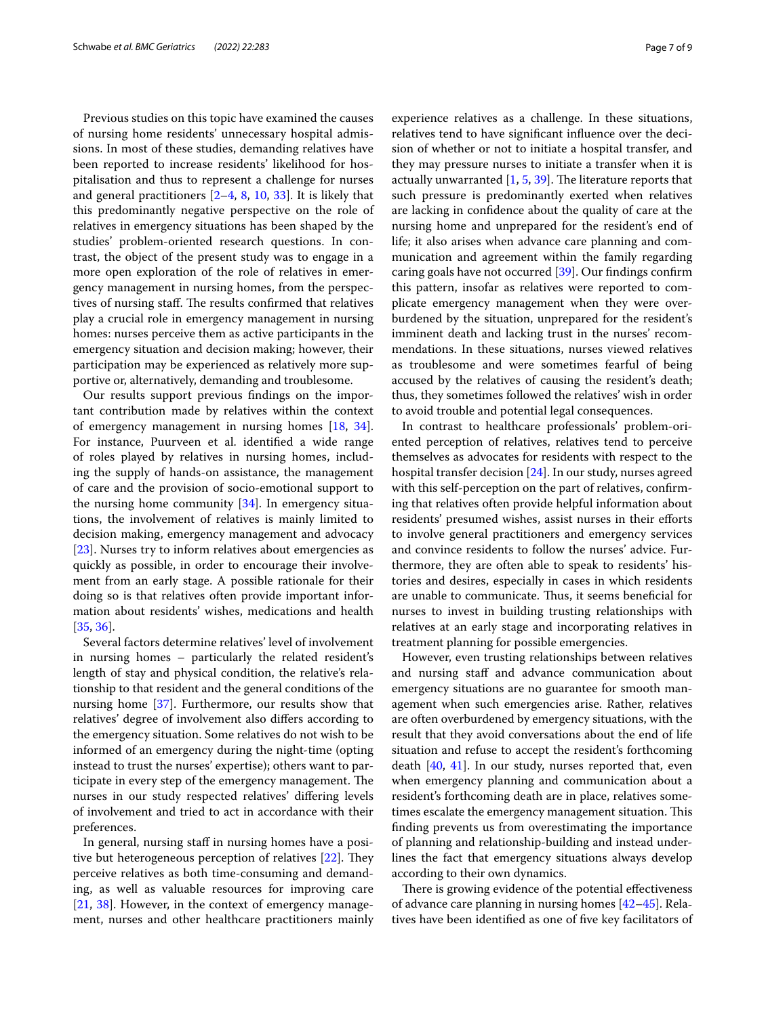Previous studies on this topic have examined the causes of nursing home residents' unnecessary hospital admissions. In most of these studies, demanding relatives have been reported to increase residents' likelihood for hospitalisation and thus to represent a challenge for nurses and general practitioners  $[2-4, 8, 10, 33]$  $[2-4, 8, 10, 33]$  $[2-4, 8, 10, 33]$  $[2-4, 8, 10, 33]$  $[2-4, 8, 10, 33]$  $[2-4, 8, 10, 33]$  $[2-4, 8, 10, 33]$ . It is likely that this predominantly negative perspective on the role of relatives in emergency situations has been shaped by the studies' problem-oriented research questions. In contrast, the object of the present study was to engage in a more open exploration of the role of relatives in emergency management in nursing homes, from the perspectives of nursing staff. The results confirmed that relatives play a crucial role in emergency management in nursing homes: nurses perceive them as active participants in the emergency situation and decision making; however, their participation may be experienced as relatively more supportive or, alternatively, demanding and troublesome.

Our results support previous fndings on the important contribution made by relatives within the context of emergency management in nursing homes [[18,](#page-8-9) [34](#page-8-24)]. For instance, Puurveen et al. identifed a wide range of roles played by relatives in nursing homes, including the supply of hands-on assistance, the management of care and the provision of socio-emotional support to the nursing home community [\[34](#page-8-24)]. In emergency situations, the involvement of relatives is mainly limited to decision making, emergency management and advocacy [[23\]](#page-8-14). Nurses try to inform relatives about emergencies as quickly as possible, in order to encourage their involvement from an early stage. A possible rationale for their doing so is that relatives often provide important information about residents' wishes, medications and health [[35,](#page-8-25) [36](#page-8-26)].

Several factors determine relatives' level of involvement in nursing homes – particularly the related resident's length of stay and physical condition, the relative's relationship to that resident and the general conditions of the nursing home [\[37\]](#page-8-27). Furthermore, our results show that relatives' degree of involvement also difers according to the emergency situation. Some relatives do not wish to be informed of an emergency during the night-time (opting instead to trust the nurses' expertise); others want to participate in every step of the emergency management. The nurses in our study respected relatives' difering levels of involvement and tried to act in accordance with their preferences.

In general, nursing staff in nursing homes have a positive but heterogeneous perception of relatives  $[22]$  $[22]$ . They perceive relatives as both time-consuming and demanding, as well as valuable resources for improving care [[21,](#page-8-12) [38\]](#page-8-28). However, in the context of emergency management, nurses and other healthcare practitioners mainly experience relatives as a challenge. In these situations, relatives tend to have signifcant infuence over the decision of whether or not to initiate a hospital transfer, and they may pressure nurses to initiate a transfer when it is actually unwarranted  $[1, 5, 39]$  $[1, 5, 39]$  $[1, 5, 39]$  $[1, 5, 39]$  $[1, 5, 39]$ . The literature reports that such pressure is predominantly exerted when relatives are lacking in confdence about the quality of care at the nursing home and unprepared for the resident's end of life; it also arises when advance care planning and communication and agreement within the family regarding caring goals have not occurred [[39](#page-8-29)]. Our fndings confrm this pattern, insofar as relatives were reported to complicate emergency management when they were overburdened by the situation, unprepared for the resident's imminent death and lacking trust in the nurses' recommendations. In these situations, nurses viewed relatives as troublesome and were sometimes fearful of being accused by the relatives of causing the resident's death; thus, they sometimes followed the relatives' wish in order to avoid trouble and potential legal consequences.

In contrast to healthcare professionals' problem-oriented perception of relatives, relatives tend to perceive themselves as advocates for residents with respect to the hospital transfer decision [\[24](#page-8-30)]. In our study, nurses agreed with this self-perception on the part of relatives, confrming that relatives often provide helpful information about residents' presumed wishes, assist nurses in their eforts to involve general practitioners and emergency services and convince residents to follow the nurses' advice. Furthermore, they are often able to speak to residents' histories and desires, especially in cases in which residents are unable to communicate. Thus, it seems beneficial for nurses to invest in building trusting relationships with relatives at an early stage and incorporating relatives in treatment planning for possible emergencies.

However, even trusting relationships between relatives and nursing staff and advance communication about emergency situations are no guarantee for smooth management when such emergencies arise. Rather, relatives are often overburdened by emergency situations, with the result that they avoid conversations about the end of life situation and refuse to accept the resident's forthcoming death [\[40](#page-8-31), [41](#page-8-32)]. In our study, nurses reported that, even when emergency planning and communication about a resident's forthcoming death are in place, relatives sometimes escalate the emergency management situation. This fnding prevents us from overestimating the importance of planning and relationship-building and instead underlines the fact that emergency situations always develop according to their own dynamics.

There is growing evidence of the potential effectiveness of advance care planning in nursing homes [\[42](#page-8-33)–[45\]](#page-8-34). Relatives have been identifed as one of fve key facilitators of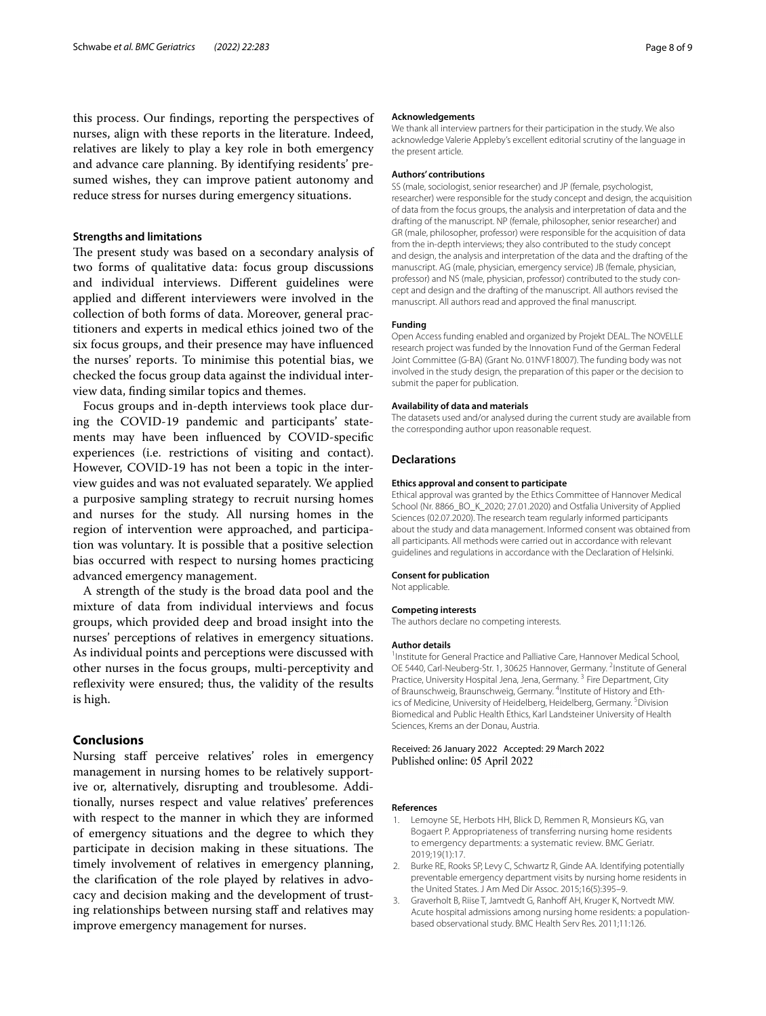this process. Our fndings, reporting the perspectives of nurses, align with these reports in the literature. Indeed, relatives are likely to play a key role in both emergency and advance care planning. By identifying residents' presumed wishes, they can improve patient autonomy and reduce stress for nurses during emergency situations.

## **Strengths and limitations**

The present study was based on a secondary analysis of two forms of qualitative data: focus group discussions and individual interviews. Diferent guidelines were applied and diferent interviewers were involved in the collection of both forms of data. Moreover, general practitioners and experts in medical ethics joined two of the six focus groups, and their presence may have infuenced the nurses' reports. To minimise this potential bias, we checked the focus group data against the individual interview data, fnding similar topics and themes.

Focus groups and in-depth interviews took place during the COVID-19 pandemic and participants' statements may have been infuenced by COVID-specifc experiences (i.e. restrictions of visiting and contact). However, COVID-19 has not been a topic in the interview guides and was not evaluated separately. We applied a purposive sampling strategy to recruit nursing homes and nurses for the study. All nursing homes in the region of intervention were approached, and participation was voluntary. It is possible that a positive selection bias occurred with respect to nursing homes practicing advanced emergency management.

A strength of the study is the broad data pool and the mixture of data from individual interviews and focus groups, which provided deep and broad insight into the nurses' perceptions of relatives in emergency situations. As individual points and perceptions were discussed with other nurses in the focus groups, multi-perceptivity and reflexivity were ensured; thus, the validity of the results is high.

## **Conclusions**

Nursing staff perceive relatives' roles in emergency management in nursing homes to be relatively supportive or, alternatively, disrupting and troublesome. Additionally, nurses respect and value relatives' preferences with respect to the manner in which they are informed of emergency situations and the degree to which they participate in decision making in these situations. The timely involvement of relatives in emergency planning, the clarifcation of the role played by relatives in advocacy and decision making and the development of trusting relationships between nursing staff and relatives may improve emergency management for nurses.

#### **Acknowledgements**

We thank all interview partners for their participation in the study. We also acknowledge Valerie Appleby's excellent editorial scrutiny of the language in the present article.

#### **Authors' contributions**

SS (male, sociologist, senior researcher) and JP (female, psychologist, researcher) were responsible for the study concept and design, the acquisition of data from the focus groups, the analysis and interpretation of data and the drafting of the manuscript. NP (female, philosopher, senior researcher) and GR (male, philosopher, professor) were responsible for the acquisition of data from the in-depth interviews; they also contributed to the study concept and design, the analysis and interpretation of the data and the drafting of the manuscript. AG (male, physician, emergency service) JB (female, physician, professor) and NS (male, physician, professor) contributed to the study concept and design and the drafting of the manuscript. All authors revised the manuscript. All authors read and approved the fnal manuscript.

#### **Funding**

Open Access funding enabled and organized by Projekt DEAL. The NOVELLE research project was funded by the Innovation Fund of the German Federal Joint Committee (G-BA) (Grant No. 01NVF18007). The funding body was not involved in the study design, the preparation of this paper or the decision to submit the paper for publication.

#### **Availability of data and materials**

The datasets used and/or analysed during the current study are available from the corresponding author upon reasonable request.

#### **Declarations**

#### **Ethics approval and consent to participate**

Ethical approval was granted by the Ethics Committee of Hannover Medical School (Nr. 8866\_BO\_K\_2020; 27.01.2020) and Ostfalia University of Applied Sciences (02.07.2020). The research team regularly informed participants about the study and data management. Informed consent was obtained from all participants. All methods were carried out in accordance with relevant guidelines and regulations in accordance with the Declaration of Helsinki.

#### **Consent for publication**

Not applicable.

#### **Competing interests**

The authors declare no competing interests.

#### **Author details**

<sup>1</sup> Institute for General Practice and Palliative Care, Hannover Medical School, OE 5440, Carl-Neuberg-Str. 1, 30625 Hannover, Germany. <sup>2</sup>Institute of General Practice, University Hospital Jena, Jena, Germany.<sup>3</sup> Fire Department, City of Braunschweig, Braunschweig, Germany. <sup>4</sup>Institute of History and Ethics of Medicine, University of Heidelberg, Heidelberg, Germany. <sup>5</sup> Division Biomedical and Public Health Ethics, Karl Landsteiner University of Health Sciences, Krems an der Donau, Austria.

Received: 26 January 2022 Accepted: 29 March 2022 Published online: 05 April 2022

#### **References**

- <span id="page-7-0"></span>1. Lemoyne SE, Herbots HH, Blick D, Remmen R, Monsieurs KG, van Bogaert P. Appropriateness of transferring nursing home residents to emergency departments: a systematic review. BMC Geriatr. 2019;19(1):17.
- <span id="page-7-1"></span>2. Burke RE, Rooks SP, Levy C, Schwartz R, Ginde AA. Identifying potentially preventable emergency department visits by nursing home residents in the United States. J Am Med Dir Assoc. 2015;16(5):395–9.
- 3. Graverholt B, Riise T, Jamtvedt G, Ranhoff AH, Kruger K, Nortvedt MW Acute hospital admissions among nursing home residents: a populationbased observational study. BMC Health Serv Res. 2011;11:126.